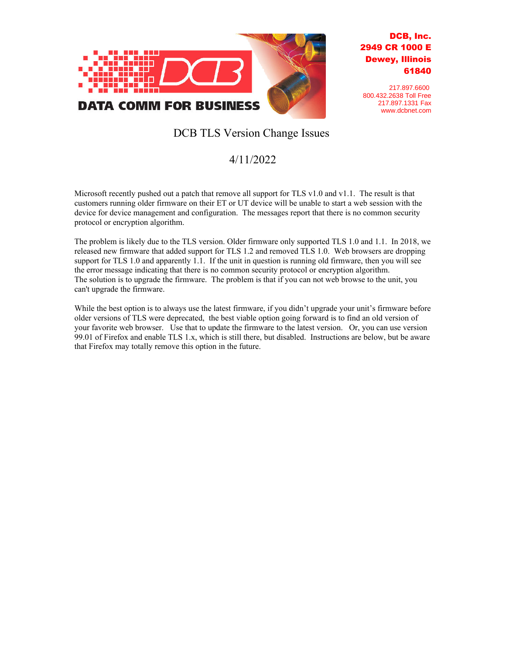

## DCB, Inc. 2949 CR 1000 E Dewey, Illinois 61840

217.897.6600 800.432.2638 Toll Free 217.897.1331 Fax www.dcbnet.com

## DCB TLS Version Change Issues

## 4/11/2022

Microsoft recently pushed out a patch that remove all support for TLS v1.0 and v1.1. The result is that customers running older firmware on their ET or UT device will be unable to start a web session with the device for device management and configuration. The messages report that there is no common security protocol or encryption algorithm.

The problem is likely due to the TLS version. Older firmware only supported TLS 1.0 and 1.1. In 2018, we released new firmware that added support for TLS 1.2 and removed TLS 1.0. Web browsers are dropping support for TLS 1.0 and apparently 1.1. If the unit in question is running old firmware, then you will see the error message indicating that there is no common security protocol or encryption algorithm. The solution is to upgrade the firmware. The problem is that if you can not web browse to the unit, you can't upgrade the firmware.

While the best option is to always use the latest firmware, if you didn't upgrade your unit's firmware before older versions of TLS were deprecated, the best viable option going forward is to find an old version of your favorite web browser. Use that to update the firmware to the latest version. Or, you can use version 99.01 of Firefox and enable TLS 1.x, which is still there, but disabled. Instructions are below, but be aware that Firefox may totally remove this option in the future.